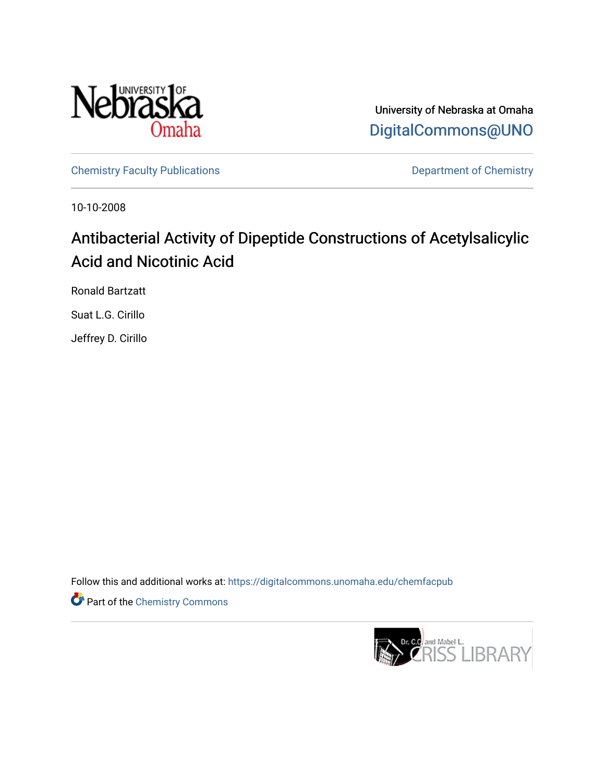

University of Nebraska at Omaha [DigitalCommons@UNO](https://digitalcommons.unomaha.edu/) 

[Chemistry Faculty Publications](https://digitalcommons.unomaha.edu/chemfacpub) **Department of Chemistry** 

10-10-2008

# Antibacterial Activity of Dipeptide Constructions of Acetylsalicylic Acid and Nicotinic Acid

Ronald Bartzatt

Suat L.G. Cirillo

Jeffrey D. Cirillo

Follow this and additional works at: [https://digitalcommons.unomaha.edu/chemfacpub](https://digitalcommons.unomaha.edu/chemfacpub?utm_source=digitalcommons.unomaha.edu%2Fchemfacpub%2F61&utm_medium=PDF&utm_campaign=PDFCoverPages) 

**Part of the Chemistry Commons** 

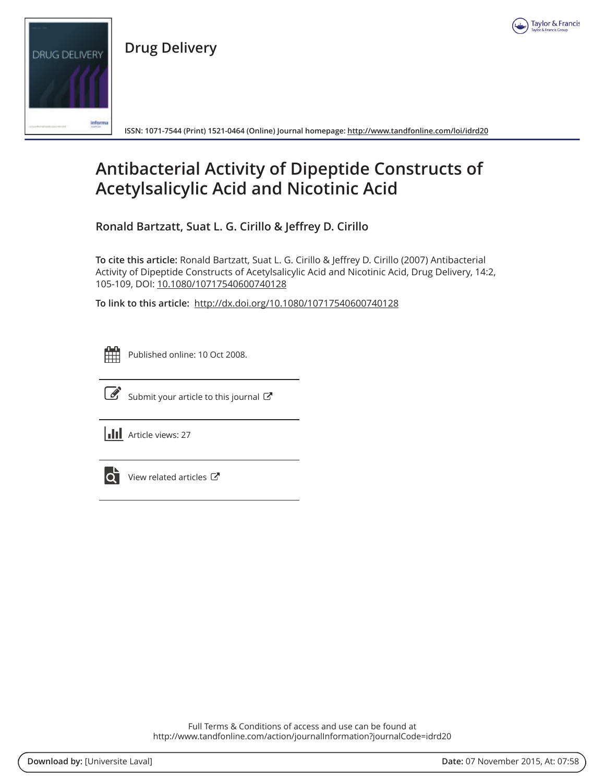

**Drug Delivery** 



ISSN: 1071-7544 (Print) 1521-0464 (Online) Journal homepage: http://www.tandfonline.com/loi/idrd20

## **Antibacterial Activity of Dipeptide Constructs of Acetylsalicylic Acid and Nicotinic Acid**

Ronald Bartzatt, Suat L. G. Cirillo & Jeffrey D. Cirillo

To cite this article: Ronald Bartzatt, Suat L. G. Cirillo & Jeffrey D. Cirillo (2007) Antibacterial Activity of Dipeptide Constructs of Acetylsalicylic Acid and Nicotinic Acid, Drug Delivery, 14:2, 105-109, DOI: 10.1080/10717540600740128

To link to this article: http://dx.doi.org/10.1080/10717540600740128

| -<br>- |  |  |   |  |  |  |  |
|--------|--|--|---|--|--|--|--|
|        |  |  | ۰ |  |  |  |  |
|        |  |  |   |  |  |  |  |
|        |  |  |   |  |  |  |  |

Published online: 10 Oct 2008.



Submit your article to this journal  $G$ 

**III** Article views: 27



View related articles C

Full Terms & Conditions of access and use can be found at http://www.tandfonline.com/action/journalInformation?journalCode=idrd20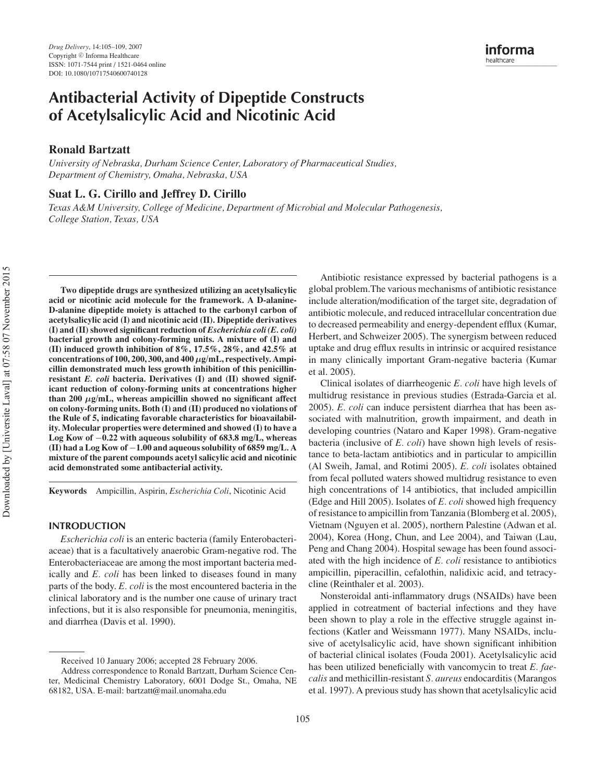## **Antibacterial Activity of Dipeptide Constructs of Acetylsalicylic Acid and Nicotinic Acid**

## **Ronald Bartzatt**

*University of Nebraska, Durham Science Center, Laboratory of Pharmaceutical Studies, Department of Chemistry, Omaha, Nebraska, USA*

## **Suat L. G. Cirillo and Jeffrey D. Cirillo**

*Texas A&M University, College of Medicine, Department of Microbial and Molecular Pathogenesis, College Station, Texas, USA*

**Two dipeptide drugs are synthesized utilizing an acetylsalicylic acid or nicotinic acid molecule for the framework. A D-alanine-D-alanine dipeptide moiety is attached to the carbonyl carbon of acetylsalicylic acid (I) and nicotinic acid (II). Dipeptide derivatives (I) and (II) showed significant reduction of** *Escherichia coli (E. coli)* **bacterial growth and colony-forming units. A mixture of (I) and (II) induced growth inhibition of 8%, 17.5%, 28%, and 42.5% at concentrations of 100, 200, 300, and 400** *μ***g/mL, respectively. Ampicillin demonstrated much less growth inhibition of this penicillinresistant** *E. coli* **bacteria. Derivatives (I) and (II) showed significant reduction of colony-forming units at concentrations higher than 200** *μ***g/mL, whereas ampicillin showed no significant affect on colony-forming units. Both (I) and (II) produced no violations of the Rule of 5, indicating favorable characteristics for bioavailability. Molecular properties were determined and showed (I) to have a Log Kow of** −**0.22 with aqueous solubility of 683.8 mg/L, whereas (II) had a Log Kow of** −**1.00 and aqueous solubility of 6859 mg/L. A mixture of the parent compounds acetyl salicylic acid and nicotinic acid demonstrated some antibacterial activity.**

**Keywords** Ampicillin, Aspirin, *Escherichia Coli*, Nicotinic Acid

#### **INTRODUCTION**

*Escherichia coli* is an enteric bacteria (family Enterobacteriaceae) that is a facultatively anaerobic Gram-negative rod. The Enterobacteriaceae are among the most important bacteria medically and *E. coli* has been linked to diseases found in many parts of the body. *E. coli* is the most encountered bacteria in the clinical laboratory and is the number one cause of urinary tract infections, but it is also responsible for pneumonia, meningitis, and diarrhea (Davis et al. 1990).

Antibiotic resistance expressed by bacterial pathogens is a global problem.The various mechanisms of antibiotic resistance include alteration/modification of the target site, degradation of antibiotic molecule, and reduced intracellular concentration due to decreased permeability and energy-dependent efflux (Kumar, Herbert, and Schweizer 2005). The synergism between reduced uptake and drug efflux results in intrinsic or acquired resistance in many clinically important Gram-negative bacteria (Kumar et al. 2005).

Clinical isolates of diarrheogenic *E. coli* have high levels of multidrug resistance in previous studies (Estrada-Garcia et al. 2005). *E. coli* can induce persistent diarrhea that has been associated with malnutrition, growth impairment, and death in developing countries (Nataro and Kaper 1998). Gram-negative bacteria (inclusive of *E. coli*) have shown high levels of resistance to beta-lactam antibiotics and in particular to ampicillin (Al Sweih, Jamal, and Rotimi 2005). *E. coli* isolates obtained from fecal polluted waters showed multidrug resistance to even high concentrations of 14 antibiotics, that included ampicillin (Edge and Hill 2005). Isolates of *E. coli* showed high frequency of resistance to ampicillin from Tanzania (Blomberg et al. 2005), Vietnam (Nguyen et al. 2005), northern Palestine (Adwan et al. 2004), Korea (Hong, Chun, and Lee 2004), and Taiwan (Lau, Peng and Chang 2004). Hospital sewage has been found associated with the high incidence of *E. coli* resistance to antibiotics ampicillin, piperacillin, cefalothin, nalidixic acid, and tetracycline (Reinthaler et al. 2003).

Nonsteroidal anti-inflammatory drugs (NSAIDs) have been applied in cotreatment of bacterial infections and they have been shown to play a role in the effective struggle against infections (Katler and Weissmann 1977). Many NSAIDs, inclusive of acetylsalicylic acid, have shown significant inhibition of bacterial clinical isolates (Fouda 2001). Acetylsalicylic acid has been utilized beneficially with vancomycin to treat *E. faecalis* and methicillin-resistant *S. aureus* endocarditis (Marangos et al. 1997). A previous study has shown that acetylsalicylic acid

Received 10 January 2006; accepted 28 February 2006.

Address correspondence to Ronald Bartzatt, Durham Science Center, Medicinal Chemistry Laboratory, 6001 Dodge St., Omaha, NE 68182, USA. E-mail: bartzatt@mail.unomaha.edu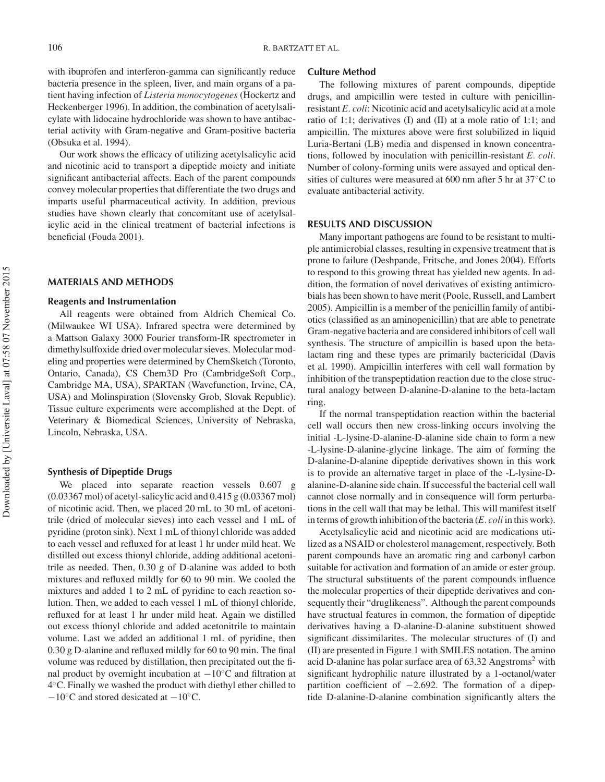with ibuprofen and interferon-gamma can significantly reduce bacteria presence in the spleen, liver, and main organs of a patient having infection of *Listeria monocytogenes* (Hockertz and Heckenberger 1996). In addition, the combination of acetylsalicylate with lidocaine hydrochloride was shown to have antibacterial activity with Gram-negative and Gram-positive bacteria (Obsuka et al. 1994).

Our work shows the efficacy of utilizing acetylsalicylic acid and nicotinic acid to transport a dipeptide moiety and initiate significant antibacterial affects. Each of the parent compounds convey molecular properties that differentiate the two drugs and imparts useful pharmaceutical activity. In addition, previous studies have shown clearly that concomitant use of acetylsalicylic acid in the clinical treatment of bacterial infections is beneficial (Fouda 2001).

## **MATERIALS AND METHODS**

#### **Reagents and Instrumentation**

All reagents were obtained from Aldrich Chemical Co. (Milwaukee WI USA). Infrared spectra were determined by a Mattson Galaxy 3000 Fourier transform-IR spectrometer in dimethylsulfoxide dried over molecular sieves. Molecular modeling and properties were determined by ChemSketch (Toronto, Ontario, Canada), CS Chem3D Pro (CambridgeSoft Corp., Cambridge MA, USA), SPARTAN (Wavefunction, Irvine, CA, USA) and Molinspiration (Slovensky Grob, Slovak Republic). Tissue culture experiments were accomplished at the Dept. of Veterinary & Biomedical Sciences, University of Nebraska, Lincoln, Nebraska, USA.

#### **Synthesis of Dipeptide Drugs**

We placed into separate reaction vessels 0.607 g (0.03367 mol) of acetyl-salicylic acid and 0.415 g (0.03367 mol) of nicotinic acid. Then, we placed 20 mL to 30 mL of acetonitrile (dried of molecular sieves) into each vessel and 1 mL of pyridine (proton sink). Next 1 mL of thionyl chloride was added to each vessel and refluxed for at least 1 hr under mild heat. We distilled out excess thionyl chloride, adding additional acetonitrile as needed. Then, 0.30 g of D-alanine was added to both mixtures and refluxed mildly for 60 to 90 min. We cooled the mixtures and added 1 to 2 mL of pyridine to each reaction solution. Then, we added to each vessel 1 mL of thionyl chloride, refluxed for at least 1 hr under mild heat. Again we distilled out excess thionyl chloride and added acetonitrile to maintain volume. Last we added an additional 1 mL of pyridine, then 0.30 g D-alanine and refluxed mildly for 60 to 90 min. The final volume was reduced by distillation, then precipitated out the final product by overnight incubation at  $-10\degree$ C and filtration at 4◦C. Finally we washed the product with diethyl ether chilled to −10◦C and stored desicated at −10◦C.

#### **Culture Method**

The following mixtures of parent compounds, dipeptide drugs, and ampicillin were tested in culture with penicillinresistant *E. coli*: Nicotinic acid and acetylsalicylic acid at a mole ratio of 1:1; derivatives (I) and (II) at a mole ratio of 1:1; and ampicillin. The mixtures above were first solubilized in liquid Luria-Bertani (LB) media and dispensed in known concentrations, followed by inoculation with penicillin-resistant *E. coli*. Number of colony-forming units were assayed and optical densities of cultures were measured at 600 nm after 5 hr at 37◦C to evaluate antibacterial activity.

#### **RESULTS AND DISCUSSION**

Many important pathogens are found to be resistant to multiple antimicrobial classes, resulting in expensive treatment that is prone to failure (Deshpande, Fritsche, and Jones 2004). Efforts to respond to this growing threat has yielded new agents. In addition, the formation of novel derivatives of existing antimicrobials has been shown to have merit (Poole, Russell, and Lambert 2005). Ampicillin is a member of the penicillin family of antibiotics (classified as an aminopenicillin) that are able to penetrate Gram-negative bacteria and are considered inhibitors of cell wall synthesis. The structure of ampicillin is based upon the betalactam ring and these types are primarily bactericidal (Davis et al. 1990). Ampicillin interferes with cell wall formation by inhibition of the transpeptidation reaction due to the close structural analogy between D-alanine-D-alanine to the beta-lactam ring.

If the normal transpeptidation reaction within the bacterial cell wall occurs then new cross-linking occurs involving the initial -L-lysine-D-alanine-D-alanine side chain to form a new -L-lysine-D-alanine-glycine linkage. The aim of forming the D-alanine-D-alanine dipeptide derivatives shown in this work is to provide an alternative target in place of the -L-lysine-Dalanine-D-alanine side chain. If successful the bacterial cell wall cannot close normally and in consequence will form perturbations in the cell wall that may be lethal. This will manifest itself in terms of growth inhibition of the bacteria (*E. coli* in this work).

Acetylsalicylic acid and nicotinic acid are medications utilized as a NSAID or cholesterol management, respectively. Both parent compounds have an aromatic ring and carbonyl carbon suitable for activation and formation of an amide or ester group. The structural substituents of the parent compounds influence the molecular properties of their dipeptide derivatives and consequently their "druglikeness". Although the parent compounds have structual features in common, the formation of dipeptide derivatives having a D-alanine-D-alanine substituent showed significant dissimilarites. The molecular structures of (I) and (II) are presented in Figure 1 with SMILES notation. The amino acid D-alanine has polar surface area of  $63.32$  Angstroms<sup>2</sup> with significant hydrophilic nature illustrated by a 1-octanol/water partition coefficient of  $-2.692$ . The formation of a dipeptide D-alanine-D-alanine combination significantly alters the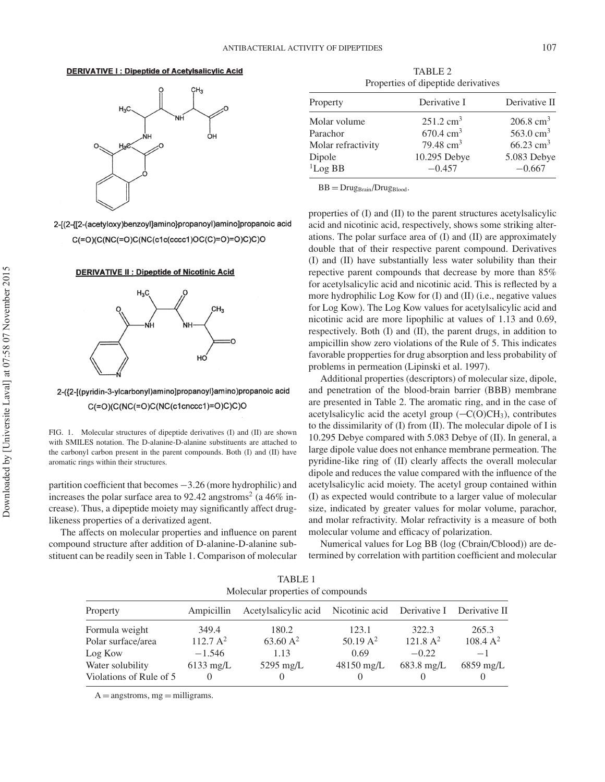## **DERIVATIVE I: Dipeptide of Acetylsalicylic Acid**



TABLE 2 Properties of dipeptide derivatives

| Property           | Derivative I         | Derivative II           |  |
|--------------------|----------------------|-------------------------|--|
| Molar volume       | $251.2 \text{ cm}^3$ | $206.8 \text{ cm}^3$    |  |
| Parachor           | $670.4 \text{ cm}^3$ | 563.0 $cm3$             |  |
| Molar refractivity | 79.48 $cm3$          | $66.23$ cm <sup>3</sup> |  |
| Dipole             | 10.295 Debye         | 5.083 Debye             |  |
| ${}^{1}$ Log BB    | $-0.457$             | $-0.667$                |  |

 $BB = Drug_{Brain}/Drug_{Blood}.$ 

properties of (I) and (II) to the parent structures acetylsalicylic acid and nicotinic acid, respectively, shows some striking alterations. The polar surface area of (I) and (II) are approximately double that of their respective parent compound. Derivatives (I) and (II) have substantially less water solubility than their repective parent compounds that decrease by more than 85% for acetylsalicylic acid and nicotinic acid. This is reflected by a more hydrophilic Log Kow for (I) and (II) (i.e., negative values for Log Kow). The Log Kow values for acetylsalicylic acid and nicotinic acid are more lipophilic at values of 1.13 and 0.69, respectively. Both (I) and (II), the parent drugs, in addition to ampicillin show zero violations of the Rule of 5. This indicates favorable propperties for drug absorption and less probability of problems in permeation (Lipinski et al. 1997).

Additional properties (descriptors) of molecular size, dipole, and penetration of the blood-brain barrier (BBB) membrane are presented in Table 2. The aromatic ring, and in the case of acetylsalicylic acid the acetyl group  $(-C(O)CH_3)$ , contributes to the dissimilarity of (I) from (II). The molecular dipole of I is 10.295 Debye compared with 5.083 Debye of (II). In general, a large dipole value does not enhance membrane permeation. The pyridine-like ring of (II) clearly affects the overall molecular dipole and reduces the value compared with the influence of the acetylsalicylic acid moiety. The acetyl group contained within (I) as expected would contribute to a larger value of molecular size, indicated by greater values for molar volume, parachor, and molar refractivity. Molar refractivity is a measure of both molecular volume and efficacy of polarization.

Numerical values for Log BB (log (Cbrain/Cblood)) are determined by correlation with partition coefficient and molecular

| Molecular properties of compounds           |                                  |                                                  |                                  |                                 |                     |  |  |  |  |
|---------------------------------------------|----------------------------------|--------------------------------------------------|----------------------------------|---------------------------------|---------------------|--|--|--|--|
| Property                                    | Ampicillin                       | Acetylsalicylic acid Nicotinic acid Derivative I |                                  |                                 | Derivative II       |  |  |  |  |
| Formula weight                              | 349.4                            | 180.2                                            | 123.1                            | 322.3                           | 265.3               |  |  |  |  |
| Polar surface/area<br>Log Kow               | 112.7 A <sup>2</sup><br>$-1.546$ | 63.60 $A^2$<br>1.13                              | 50.19 $A^2$<br>0.69              | 121.8 A <sup>2</sup><br>$-0.22$ | $108.4 A^2$<br>$-1$ |  |  |  |  |
| Water solubility<br>Violations of Rule of 5 | $6133 \text{ mg/L}$              | 5295 mg/L<br>$_{0}$                              | $48150 \text{ mg/L}$<br>$\theta$ | $683.8 \text{ mg/L}$            | $6859 \text{ mg/L}$ |  |  |  |  |

TABLE 1

 $A =$ angstroms, mg = milligrams.

2-[(2-{[2-(acetyloxy)benzoyl]amino}propanoyl)amino]propanoic acid  $C(=O)(C(NC(=O)C(NC(c1c(cccc1)OC(C)=O)=O)C)CO$ 

**DERIVATIVE II : Dipeptide of Nicotinic Acid** 



FIG. 1. Molecular structures of dipeptide derivatives (I) and (II) are shown with SMILES notation. The D-alanine-D-alanine substituents are attached to the carbonyl carbon present in the parent compounds. Both (I) and (II) have

2-({2-[(pyridin-3-ylcarbonyl)amino]propanoyl}amino)propanoic acid  $C(=O)(C(NC(=O)C(NC(c1cnccc1)=O)C)C)$ 

partition coefficient that becomes −3.26 (more hydrophilic) and increases the polar surface area to 92.42 angstroms<sup>2</sup> (a  $46\%$  increase). Thus, a dipeptide moiety may significantly affect drug-

The affects on molecular properties and influence on parent compound structure after addition of D-alanine-D-alanine substituent can be readily seen in Table 1. Comparison of molecular

aromatic rings within their structures.

likeness properties of a derivatized agent.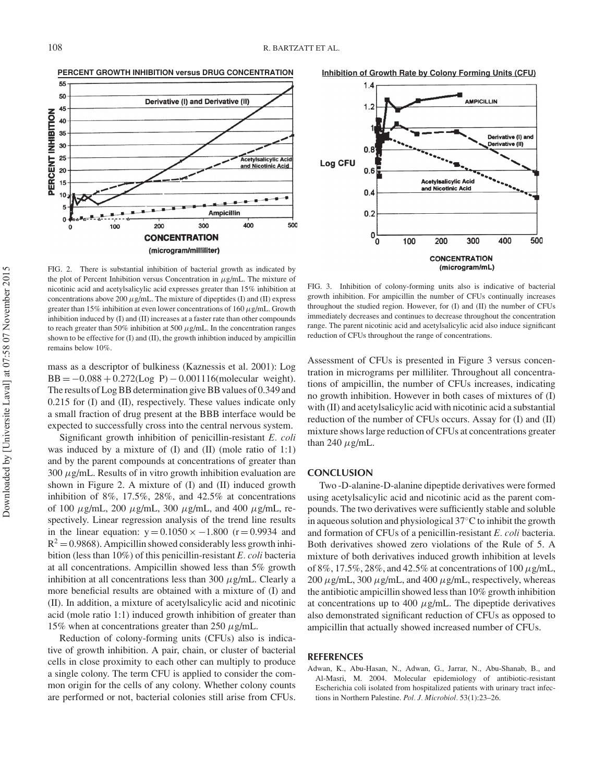

FIG. 2. There is substantial inhibition of bacterial growth as indicated by the plot of Percent Inhibition versus Concentration in  $\mu$ g/mL. The mixture of nicotinic acid and acetylsalicylic acid expresses greater than 15% inhibition at concentrations above 200  $\mu$ g/mL. The mixture of dipeptides (I) and (II) express greater than 15% inhibition at even lower concentrations of 160  $\mu$ g/mL. Growth inhibition induced by (I) and (II) increases at a faster rate than other compounds to reach greater than 50% inhibition at 500  $\mu$ g/mL. In the concentration ranges shown to be effective for (I) and (II), the growth inhibtion induced by ampicillin remains below 10%.

mass as a descriptor of bulkiness (Kaznessis et al. 2001): Log  $BB = -0.088 + 0.272(\text{Log } P) - 0.001116(\text{molecular weight}).$ The results of Log BB determination give BB values of 0.349 and 0.215 for (I) and (II), respectively. These values indicate only a small fraction of drug present at the BBB interface would be expected to successfully cross into the central nervous system.

Significant growth inhibition of penicillin-resistant *E. coli* was induced by a mixture of  $(I)$  and  $(II)$  (mole ratio of 1:1) and by the parent compounds at concentrations of greater than  $300 \mu$ g/mL. Results of in vitro growth inhibition evaluation are shown in Figure 2. A mixture of (I) and (II) induced growth inhibition of 8%, 17.5%, 28%, and 42.5% at concentrations of 100  $\mu$ g/mL, 200  $\mu$ g/mL, 300  $\mu$ g/mL, and 400  $\mu$ g/mL, respectively. Linear regression analysis of the trend line results in the linear equation:  $y = 0.1050 \times -1.800$  (r = 0.9934 and  $R^2 = 0.9868$ ). Ampicillin showed considerably less growth inhibition (less than 10%) of this penicillin-resistant *E. coli* bacteria at all concentrations. Ampicillin showed less than 5% growth inhibition at all concentrations less than 300  $\mu$ g/mL. Clearly a more beneficial results are obtained with a mixture of (I) and (II). In addition, a mixture of acetylsalicylic acid and nicotinic acid (mole ratio 1:1) induced growth inhibition of greater than 15% when at concentrations greater than 250  $\mu$ g/mL.

Reduction of colony-forming units (CFUs) also is indicative of growth inhibition. A pair, chain, or cluster of bacterial cells in close proximity to each other can multiply to produce a single colony. The term CFU is applied to consider the common origin for the cells of any colony. Whether colony counts are performed or not, bacterial colonies still arise from CFUs.

**Inhibition of Growth Rate by Colony Forming Units (CFU)**



FIG. 3. Inhibition of colony-forming units also is indicative of bacterial growth inhibition. For ampicillin the number of CFUs continually increases throughout the studied region. However, for (I) and (II) the number of CFUs immediately decreases and continues to decrease throughout the concentration range. The parent nicotinic acid and acetylsalicylic acid also induce significant reduction of CFUs throughout the range of concentrations.

Assessment of CFUs is presented in Figure 3 versus concentration in micrograms per milliliter. Throughout all concentrations of ampicillin, the number of CFUs increases, indicating no growth inhibition. However in both cases of mixtures of (I) with (II) and acetylsalicylic acid with nicotinic acid a substantial reduction of the number of CFUs occurs. Assay for (I) and (II) mixture shows large reduction of CFUs at concentrations greater than 240  $\mu$ g/mL.

## **CONCLUSION**

Two -D-alanine-D-alanine dipeptide derivatives were formed using acetylsalicylic acid and nicotinic acid as the parent compounds. The two derivatives were sufficiently stable and soluble in aqueous solution and physiological 37◦C to inhibit the growth and formation of CFUs of a penicillin-resistant *E. coli* bacteria. Both derivatives showed zero violations of the Rule of 5. A mixture of both derivatives induced growth inhibition at levels of 8%, 17.5%, 28%, and 42.5% at concentrations of 100  $\mu$ g/mL, 200  $\mu$ g/mL, 300  $\mu$ g/mL, and 400  $\mu$ g/mL, respectively, whereas the antibiotic ampicillin showed less than 10% growth inhibition at concentrations up to 400  $\mu$ g/mL. The dipeptide derivatives also demonstrated significant reduction of CFUs as opposed to ampicillin that actually showed increased number of CFUs.

## **REFERENCES**

Adwan, K., Abu-Hasan, N., Adwan, G., Jarrar, N., Abu-Shanab, B., and Al-Masri, M. 2004. Molecular epidemiology of antibiotic-resistant Escherichia coli isolated from hospitalized patients with urinary tract infections in Northern Palestine. *Pol. J. Microbiol.* 53(1):23–26.